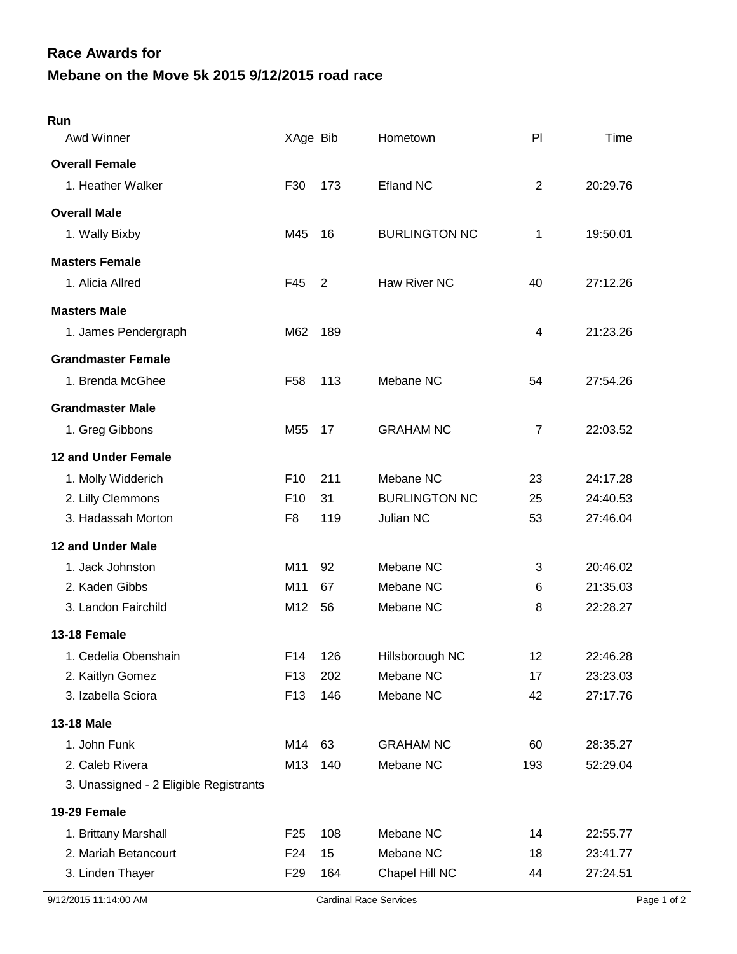## **Mebane on the Move 5k 2015 9/12/2015 road race Race Awards for**

| Run                                    |                 |                |                      |                |          |
|----------------------------------------|-----------------|----------------|----------------------|----------------|----------|
| Awd Winner                             | XAge Bib        |                | Hometown             | P <sub>1</sub> | Time     |
| <b>Overall Female</b>                  |                 |                |                      |                |          |
| 1. Heather Walker                      | F30             | 173            | <b>Efland NC</b>     | $\overline{2}$ | 20:29.76 |
| <b>Overall Male</b>                    |                 |                |                      |                |          |
| 1. Wally Bixby                         | M45             | 16             | <b>BURLINGTON NC</b> | 1              | 19:50.01 |
| <b>Masters Female</b>                  |                 |                |                      |                |          |
| 1. Alicia Allred                       | F45             | $\overline{2}$ | Haw River NC         | 40             | 27:12.26 |
| <b>Masters Male</b>                    |                 |                |                      |                |          |
| 1. James Pendergraph                   | M62             | 189            |                      | 4              | 21:23.26 |
| <b>Grandmaster Female</b>              |                 |                |                      |                |          |
| 1. Brenda McGhee                       | F58             | 113            | Mebane NC            | 54             | 27:54.26 |
| <b>Grandmaster Male</b>                |                 |                |                      |                |          |
| 1. Greg Gibbons                        | M <sub>55</sub> | 17             | <b>GRAHAM NC</b>     | $\overline{7}$ | 22:03.52 |
| <b>12 and Under Female</b>             |                 |                |                      |                |          |
| 1. Molly Widderich                     | F <sub>10</sub> | 211            | Mebane NC            | 23             | 24:17.28 |
| 2. Lilly Clemmons                      | F <sub>10</sub> | 31             | <b>BURLINGTON NC</b> | 25             | 24:40.53 |
| 3. Hadassah Morton                     | F <sub>8</sub>  | 119            | Julian NC            | 53             | 27:46.04 |
| 12 and Under Male                      |                 |                |                      |                |          |
| 1. Jack Johnston                       | M11             | 92             | Mebane NC            | 3              | 20:46.02 |
| 2. Kaden Gibbs                         | M11             | 67             | Mebane NC            | 6              | 21:35.03 |
| 3. Landon Fairchild                    | M12             | 56             | Mebane NC            | 8              | 22:28.27 |
| <b>13-18 Female</b>                    |                 |                |                      |                |          |
| 1. Cedelia Obenshain                   | F14             | 126            | Hillsborough NC      | 12             | 22:46.28 |
| 2. Kaitlyn Gomez                       | F <sub>13</sub> | 202            | Mebane NC            | 17             | 23:23.03 |
| 3. Izabella Sciora                     | F <sub>13</sub> | 146            | Mebane NC            | 42             | 27:17.76 |
| <b>13-18 Male</b>                      |                 |                |                      |                |          |
| 1. John Funk                           | M14             | 63             | <b>GRAHAM NC</b>     | 60             | 28:35.27 |
| 2. Caleb Rivera                        | M13             | 140            | Mebane NC            | 193            | 52:29.04 |
| 3. Unassigned - 2 Eligible Registrants |                 |                |                      |                |          |
| 19-29 Female                           |                 |                |                      |                |          |
| 1. Brittany Marshall                   | F <sub>25</sub> | 108            | Mebane NC            | 14             | 22:55.77 |
| 2. Mariah Betancourt                   | F24             | 15             | Mebane NC            | 18             | 23:41.77 |
| 3. Linden Thayer                       | F <sub>29</sub> | 164            | Chapel Hill NC       | 44             | 27:24.51 |
|                                        |                 |                |                      |                |          |